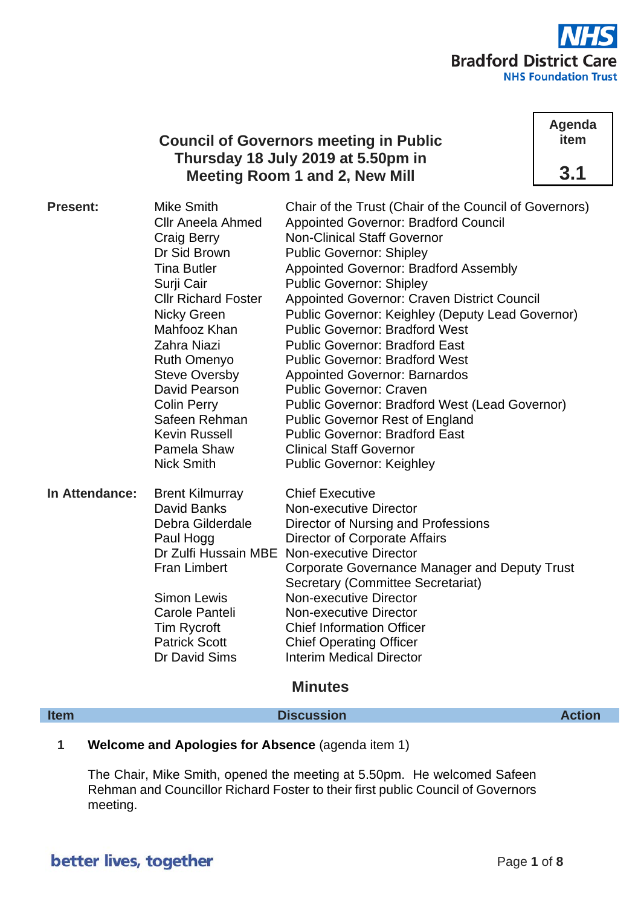

# **Council of Governors meeting in Public Thursday 18 July 2019 at 5.50pm in Meeting Room 1 and 2, New Mill**

**Agenda item 3.1**

| <b>Present:</b> | <b>Mike Smith</b><br><b>Cllr Aneela Ahmed</b><br>Craig Berry<br>Dr Sid Brown<br><b>Tina Butler</b><br>Surji Cair<br><b>Cllr Richard Foster</b><br><b>Nicky Green</b><br>Mahfooz Khan<br>Zahra Niazi<br>Ruth Omenyo<br><b>Steve Oversby</b><br>David Pearson<br><b>Colin Perry</b><br>Safeen Rehman<br>Kevin Russell<br>Pamela Shaw<br><b>Nick Smith</b> | Chair of the Trust (Chair of the Council of Governors)<br><b>Appointed Governor: Bradford Council</b><br><b>Non-Clinical Staff Governor</b><br><b>Public Governor: Shipley</b><br>Appointed Governor: Bradford Assembly<br><b>Public Governor: Shipley</b><br><b>Appointed Governor: Craven District Council</b><br><b>Public Governor: Keighley (Deputy Lead Governor)</b><br><b>Public Governor: Bradford West</b><br><b>Public Governor: Bradford East</b><br><b>Public Governor: Bradford West</b><br><b>Appointed Governor: Barnardos</b><br><b>Public Governor: Craven</b><br><b>Public Governor: Bradford West (Lead Governor)</b><br><b>Public Governor Rest of England</b><br><b>Public Governor: Bradford East</b><br><b>Clinical Staff Governor</b><br><b>Public Governor: Keighley</b> |
|-----------------|---------------------------------------------------------------------------------------------------------------------------------------------------------------------------------------------------------------------------------------------------------------------------------------------------------------------------------------------------------|----------------------------------------------------------------------------------------------------------------------------------------------------------------------------------------------------------------------------------------------------------------------------------------------------------------------------------------------------------------------------------------------------------------------------------------------------------------------------------------------------------------------------------------------------------------------------------------------------------------------------------------------------------------------------------------------------------------------------------------------------------------------------------------------------|
| In Attendance:  | <b>Brent Kilmurray</b><br><b>David Banks</b><br>Debra Gilderdale<br>Paul Hogg<br><b>Fran Limbert</b><br><b>Simon Lewis</b><br>Carole Panteli<br>Tim Rycroft<br><b>Patrick Scott</b><br>Dr David Sims                                                                                                                                                    | <b>Chief Executive</b><br>Non-executive Director<br>Director of Nursing and Professions<br>Director of Corporate Affairs<br>Dr Zulfi Hussain MBE Non-executive Director<br>Corporate Governance Manager and Deputy Trust<br>Secretary (Committee Secretariat)<br>Non-executive Director<br>Non-executive Director<br><b>Chief Information Officer</b><br><b>Chief Operating Officer</b><br><b>Interim Medical Director</b>                                                                                                                                                                                                                                                                                                                                                                         |

## **Minutes**

# **Item Discussion Action**

## **1 Welcome and Apologies for Absence** (agenda item 1)

The Chair, Mike Smith, opened the meeting at 5.50pm. He welcomed Safeen Rehman and Councillor Richard Foster to their first public Council of Governors meeting.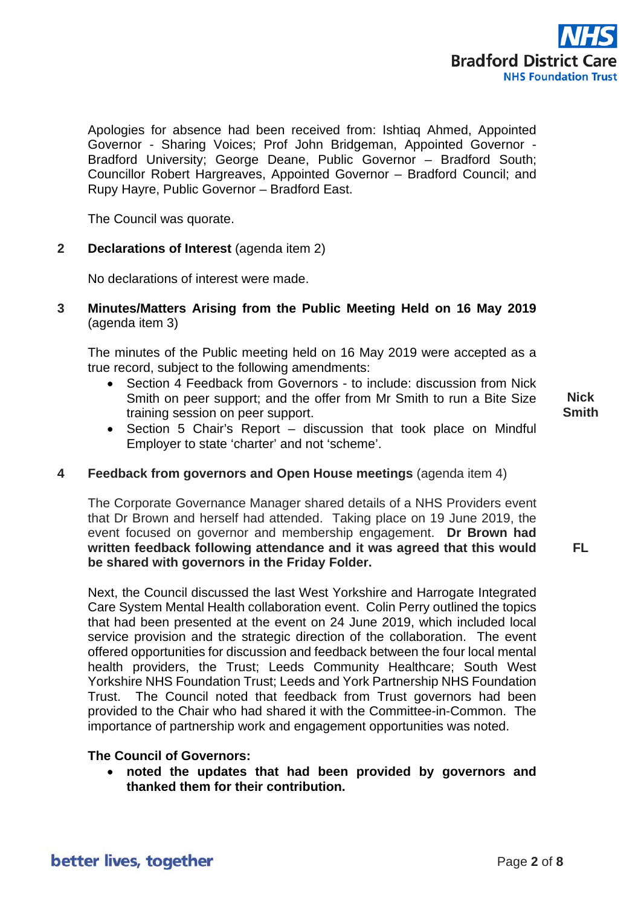

Apologies for absence had been received from: Ishtiaq Ahmed, Appointed Governor - Sharing Voices; Prof John Bridgeman, Appointed Governor - Bradford University; George Deane, Public Governor – Bradford South; Councillor Robert Hargreaves, Appointed Governor – Bradford Council; and Rupy Hayre, Public Governor – Bradford East.

The Council was quorate.

#### **2 Declarations of Interest** (agenda item 2)

No declarations of interest were made.

### **3 Minutes/Matters Arising from the Public Meeting Held on 16 May 2019** (agenda item 3)

The minutes of the Public meeting held on 16 May 2019 were accepted as a true record, subject to the following amendments:

• Section 4 Feedback from Governors - to include: discussion from Nick Smith on peer support; and the offer from Mr Smith to run a Bite Size training session on peer support.

**Nick Smith**

**FL**

• Section 5 Chair's Report – discussion that took place on Mindful Employer to state 'charter' and not 'scheme'.

#### **4 Feedback from governors and Open House meetings** (agenda item 4)

The Corporate Governance Manager shared details of a NHS Providers event that Dr Brown and herself had attended. Taking place on 19 June 2019, the event focused on governor and membership engagement. **Dr Brown had written feedback following attendance and it was agreed that this would be shared with governors in the Friday Folder.**

Next, the Council discussed the last West Yorkshire and Harrogate Integrated Care System Mental Health collaboration event. Colin Perry outlined the topics that had been presented at the event on 24 June 2019, which included local service provision and the strategic direction of the collaboration. The event offered opportunities for discussion and feedback between the four local mental health providers, the Trust; Leeds Community Healthcare; South West Yorkshire NHS Foundation Trust; Leeds and York Partnership NHS Foundation Trust. The Council noted that feedback from Trust governors had been provided to the Chair who had shared it with the Committee-in-Common. The importance of partnership work and engagement opportunities was noted.

#### **The Council of Governors:**

• **noted the updates that had been provided by governors and thanked them for their contribution.**

better lives, together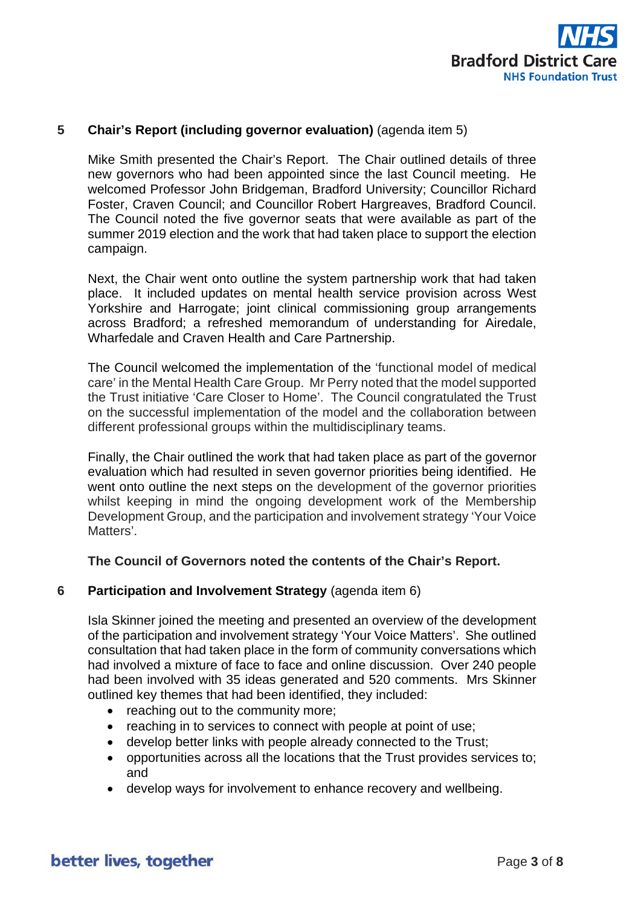

### **5 Chair's Report (including governor evaluation)** (agenda item 5)

Mike Smith presented the Chair's Report. The Chair outlined details of three new governors who had been appointed since the last Council meeting. He welcomed Professor John Bridgeman, Bradford University; Councillor Richard Foster, Craven Council; and Councillor Robert Hargreaves, Bradford Council. The Council noted the five governor seats that were available as part of the summer 2019 election and the work that had taken place to support the election campaign.

Next, the Chair went onto outline the system partnership work that had taken place. It included updates on mental health service provision across West Yorkshire and Harrogate; joint clinical commissioning group arrangements across Bradford; a refreshed memorandum of understanding for Airedale, Wharfedale and Craven Health and Care Partnership.

The Council welcomed the implementation of the 'functional model of medical care' in the Mental Health Care Group. Mr Perry noted that the model supported the Trust initiative 'Care Closer to Home'. The Council congratulated the Trust on the successful implementation of the model and the collaboration between different professional groups within the multidisciplinary teams.

Finally, the Chair outlined the work that had taken place as part of the governor evaluation which had resulted in seven governor priorities being identified. He went onto outline the next steps on the development of the governor priorities whilst keeping in mind the ongoing development work of the Membership Development Group, and the participation and involvement strategy 'Your Voice Matters'

#### **The Council of Governors noted the contents of the Chair's Report.**

#### **6 Participation and Involvement Strategy** (agenda item 6)

Isla Skinner joined the meeting and presented an overview of the development of the participation and involvement strategy 'Your Voice Matters'. She outlined consultation that had taken place in the form of community conversations which had involved a mixture of face to face and online discussion. Over 240 people had been involved with 35 ideas generated and 520 comments. Mrs Skinner outlined key themes that had been identified, they included:

- reaching out to the community more;
- reaching in to services to connect with people at point of use;
- develop better links with people already connected to the Trust;
- opportunities across all the locations that the Trust provides services to; and
- develop ways for involvement to enhance recovery and wellbeing.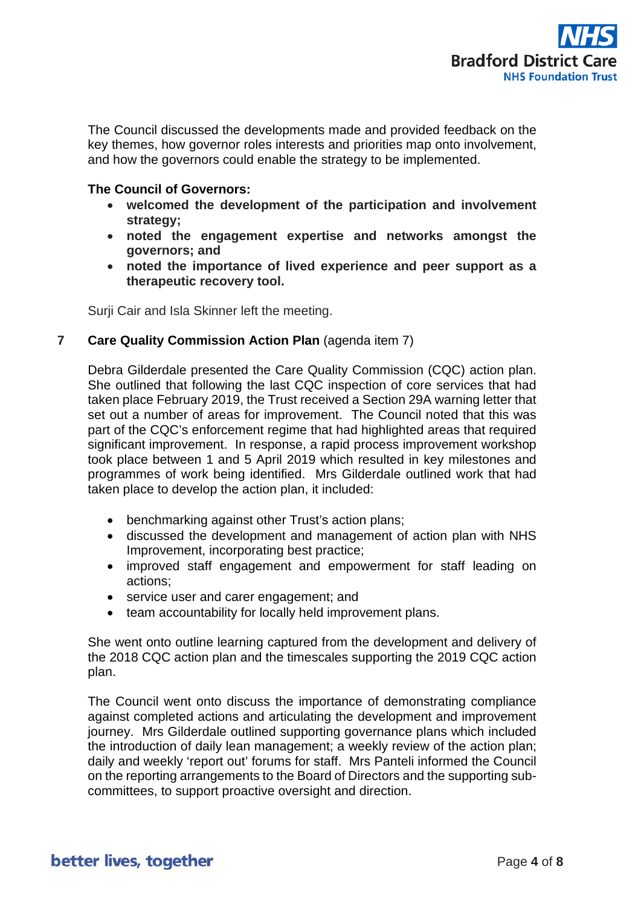

The Council discussed the developments made and provided feedback on the key themes, how governor roles interests and priorities map onto involvement, and how the governors could enable the strategy to be implemented.

### **The Council of Governors:**

- **welcomed the development of the participation and involvement strategy;**
- **noted the engagement expertise and networks amongst the governors; and**
- **noted the importance of lived experience and peer support as a therapeutic recovery tool.**

Surji Cair and Isla Skinner left the meeting.

### **7 Care Quality Commission Action Plan** (agenda item 7)

Debra Gilderdale presented the Care Quality Commission (CQC) action plan. She outlined that following the last CQC inspection of core services that had taken place February 2019, the Trust received a Section 29A warning letter that set out a number of areas for improvement. The Council noted that this was part of the CQC's enforcement regime that had highlighted areas that required significant improvement. In response, a rapid process improvement workshop took place between 1 and 5 April 2019 which resulted in key milestones and programmes of work being identified. Mrs Gilderdale outlined work that had taken place to develop the action plan, it included:

- benchmarking against other Trust's action plans;
- discussed the development and management of action plan with NHS Improvement, incorporating best practice;
- improved staff engagement and empowerment for staff leading on actions;
- service user and carer engagement; and
- team accountability for locally held improvement plans.

She went onto outline learning captured from the development and delivery of the 2018 CQC action plan and the timescales supporting the 2019 CQC action plan.

The Council went onto discuss the importance of demonstrating compliance against completed actions and articulating the development and improvement journey. Mrs Gilderdale outlined supporting governance plans which included the introduction of daily lean management; a weekly review of the action plan; daily and weekly 'report out' forums for staff. Mrs Panteli informed the Council on the reporting arrangements to the Board of Directors and the supporting subcommittees, to support proactive oversight and direction.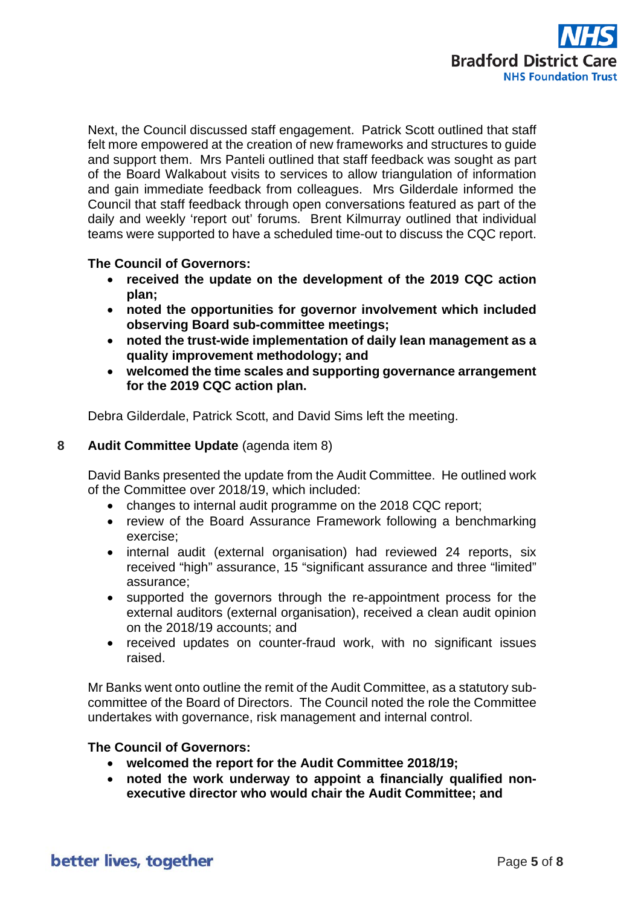

Next, the Council discussed staff engagement. Patrick Scott outlined that staff felt more empowered at the creation of new frameworks and structures to guide and support them. Mrs Panteli outlined that staff feedback was sought as part of the Board Walkabout visits to services to allow triangulation of information and gain immediate feedback from colleagues. Mrs Gilderdale informed the Council that staff feedback through open conversations featured as part of the daily and weekly 'report out' forums. Brent Kilmurray outlined that individual teams were supported to have a scheduled time-out to discuss the CQC report.

### **The Council of Governors:**

- **received the update on the development of the 2019 CQC action plan;**
- **noted the opportunities for governor involvement which included observing Board sub-committee meetings;**
- **noted the trust-wide implementation of daily lean management as a quality improvement methodology; and**
- **welcomed the time scales and supporting governance arrangement for the 2019 CQC action plan.**

Debra Gilderdale, Patrick Scott, and David Sims left the meeting.

### **8 Audit Committee Update** (agenda item 8)

David Banks presented the update from the Audit Committee. He outlined work of the Committee over 2018/19, which included:

- changes to internal audit programme on the 2018 CQC report;
- review of the Board Assurance Framework following a benchmarking exercise;
- internal audit (external organisation) had reviewed 24 reports, six received "high" assurance, 15 "significant assurance and three "limited" assurance;
- supported the governors through the re-appointment process for the external auditors (external organisation), received a clean audit opinion on the 2018/19 accounts; and
- received updates on counter-fraud work, with no significant issues raised.

Mr Banks went onto outline the remit of the Audit Committee, as a statutory subcommittee of the Board of Directors. The Council noted the role the Committee undertakes with governance, risk management and internal control.

### **The Council of Governors:**

- **welcomed the report for the Audit Committee 2018/19;**
- **noted the work underway to appoint a financially qualified nonexecutive director who would chair the Audit Committee; and**

better lives, together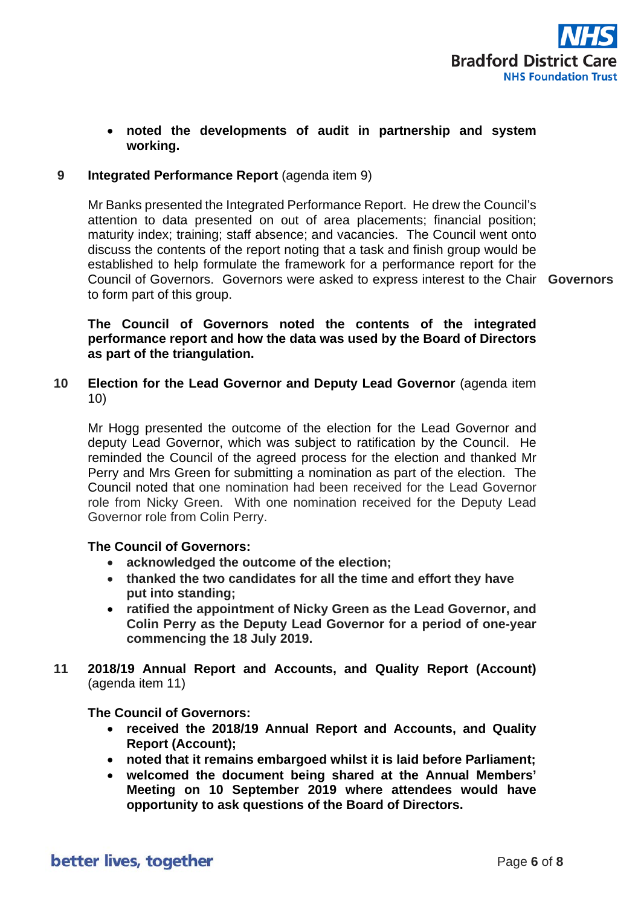

### • **noted the developments of audit in partnership and system working.**

### **9 Integrated Performance Report** (agenda item 9)

Mr Banks presented the Integrated Performance Report. He drew the Council's attention to data presented on out of area placements; financial position; maturity index; training; staff absence; and vacancies. The Council went onto discuss the contents of the report noting that a task and finish group would be established to help formulate the framework for a performance report for the Council of Governors. Governors were asked to express interest to the Chair **Governors** to form part of this group.

### **The Council of Governors noted the contents of the integrated performance report and how the data was used by the Board of Directors as part of the triangulation.**

**10 Election for the Lead Governor and Deputy Lead Governor** (agenda item 10)

Mr Hogg presented the outcome of the election for the Lead Governor and deputy Lead Governor, which was subject to ratification by the Council. He reminded the Council of the agreed process for the election and thanked Mr Perry and Mrs Green for submitting a nomination as part of the election. The Council noted that one nomination had been received for the Lead Governor role from Nicky Green. With one nomination received for the Deputy Lead Governor role from Colin Perry.

#### **The Council of Governors:**

- **acknowledged the outcome of the election;**
- **thanked the two candidates for all the time and effort they have put into standing;**
- **ratified the appointment of Nicky Green as the Lead Governor, and Colin Perry as the Deputy Lead Governor for a period of one-year commencing the 18 July 2019.**
- **11 2018/19 Annual Report and Accounts, and Quality Report (Account)**  (agenda item 11)

**The Council of Governors:**

- **received the 2018/19 Annual Report and Accounts, and Quality Report (Account);**
- **noted that it remains embargoed whilst it is laid before Parliament;**
- **welcomed the document being shared at the Annual Members' Meeting on 10 September 2019 where attendees would have opportunity to ask questions of the Board of Directors.**

better lives, together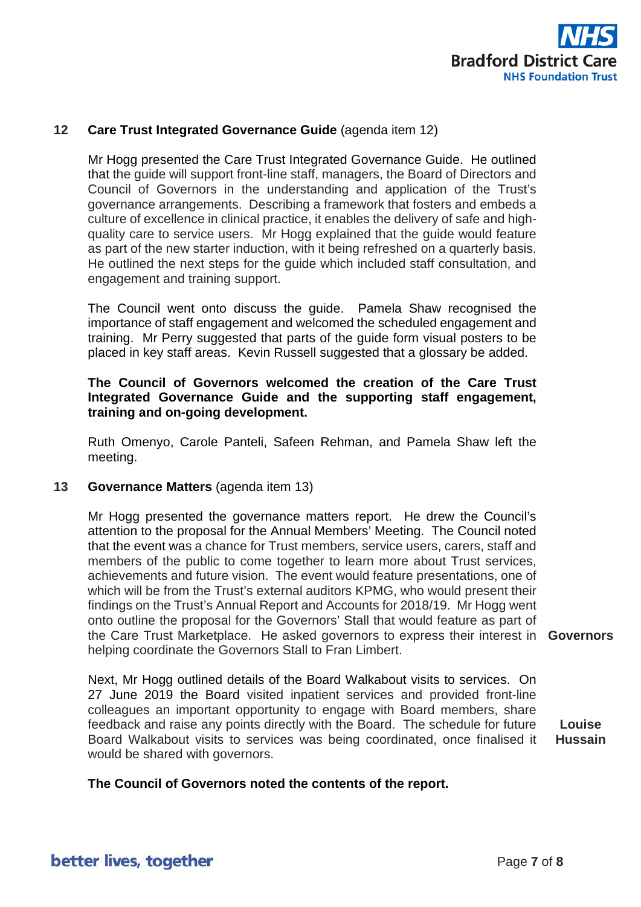

### **12 Care Trust Integrated Governance Guide** (agenda item 12)

Mr Hogg presented the Care Trust Integrated Governance Guide. He outlined that the guide will support front-line staff, managers, the Board of Directors and Council of Governors in the understanding and application of the Trust's governance arrangements. Describing a framework that fosters and embeds a culture of excellence in clinical practice, it enables the delivery of safe and highquality care to service users. Mr Hogg explained that the guide would feature as part of the new starter induction, with it being refreshed on a quarterly basis. He outlined the next steps for the guide which included staff consultation, and engagement and training support.

The Council went onto discuss the guide. Pamela Shaw recognised the importance of staff engagement and welcomed the scheduled engagement and training. Mr Perry suggested that parts of the guide form visual posters to be placed in key staff areas. Kevin Russell suggested that a glossary be added.

### **The Council of Governors welcomed the creation of the Care Trust Integrated Governance Guide and the supporting staff engagement, training and on-going development.**

Ruth Omenyo, Carole Panteli, Safeen Rehman, and Pamela Shaw left the meeting.

#### **13 Governance Matters** (agenda item 13)

Mr Hogg presented the governance matters report. He drew the Council's attention to the proposal for the Annual Members' Meeting. The Council noted that the event was a chance for Trust members, service users, carers, staff and members of the public to come together to learn more about Trust services, achievements and future vision. The event would feature presentations, one of which will be from the Trust's external auditors KPMG, who would present their findings on the Trust's Annual Report and Accounts for 2018/19. Mr Hogg went onto outline the proposal for the Governors' Stall that would feature as part of the Care Trust Marketplace. He asked governors to express their interest in **Governors** helping coordinate the Governors Stall to Fran Limbert.

Next, Mr Hogg outlined details of the Board Walkabout visits to services. On 27 June 2019 the Board visited inpatient services and provided front-line colleagues an important opportunity to engage with Board members, share feedback and raise any points directly with the Board. The schedule for future Board Walkabout visits to services was being coordinated, once finalised it would be shared with governors.

**Louise** 

**Hussain**

#### **The Council of Governors noted the contents of the report.**